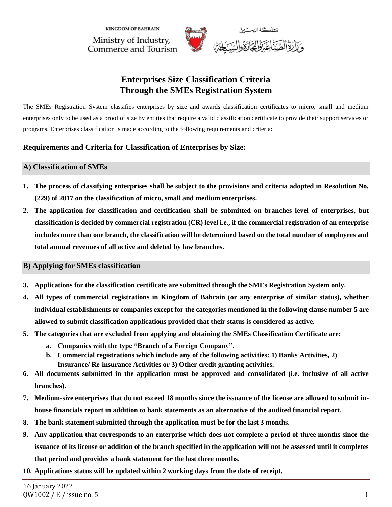**KINGDOM OF BAHRAIN** Ministry of Industry, Commerce and Tourism



# **Enterprises Size Classification Criteria Through the SMEs Registration System**

The SMEs Registration System classifies enterprises by size and awards classification certificates to micro, small and medium enterprises only to be used as a proof of size by entities that require a valid classification certificate to provide their support services or programs. Enterprises classification is made according to the following requirements and criteria:

## **Requirements and Criteria for Classification of Enterprises by Size:**

### **A) Classification of SMEs**

- **1. The process of classifying enterprises shall be subject to the provisions and criteria adopted in Resolution No. (229) of 2017 on the classification of micro, small and medium enterprises.**
- **2. The application for classification and certification shall be submitted on branches level of enterprises, but classification is decided by commercial registration (CR) level i.e., if the commercial registration of an enterprise includes more than one branch, the classification will be determined based on the total number of employees and total annual revenues of all active and deleted by law branches.**

## **B) Applying for SMEs classification**

- **3. Applications for the classification certificate are submitted through the SMEs Registration System only.**
- **4. All types of commercial registrations in Kingdom of Bahrain (or any enterprise of similar status), whether individual establishments or companies except for the categories mentioned in the following clause number 5 are allowed to submit classification applications provided that their status is considered as active.**
- **5. The categories that are excluded from applying and obtaining the SMEs Classification Certificate are:**
	- **a. Companies with the type "Branch of a Foreign Company".**
	- **b. Commercial registrations which include any of the following activities: 1) Banks Activities, 2) Insurance/ Re-insurance Activities or 3) Other credit granting activities.**
- **6. All documents submitted in the application must be approved and consolidated (i.e. inclusive of all active branches).**
- **7. Medium-size enterprises that do not exceed 18 months since the issuance of the license are allowed to submit inhouse financials report in addition to bank statements as an alternative of the audited financial report.**
- **8. The bank statement submitted through the application must be for the last 3 months.**
- **9. Any application that corresponds to an enterprise which does not complete a period of three months since the issuance of its license or addition of the branch specified in the application will not be assessed until it completes that period and provides a bank statement for the last three months.**
- **10. Applications status will be updated within 2 working days from the date of receipt.**